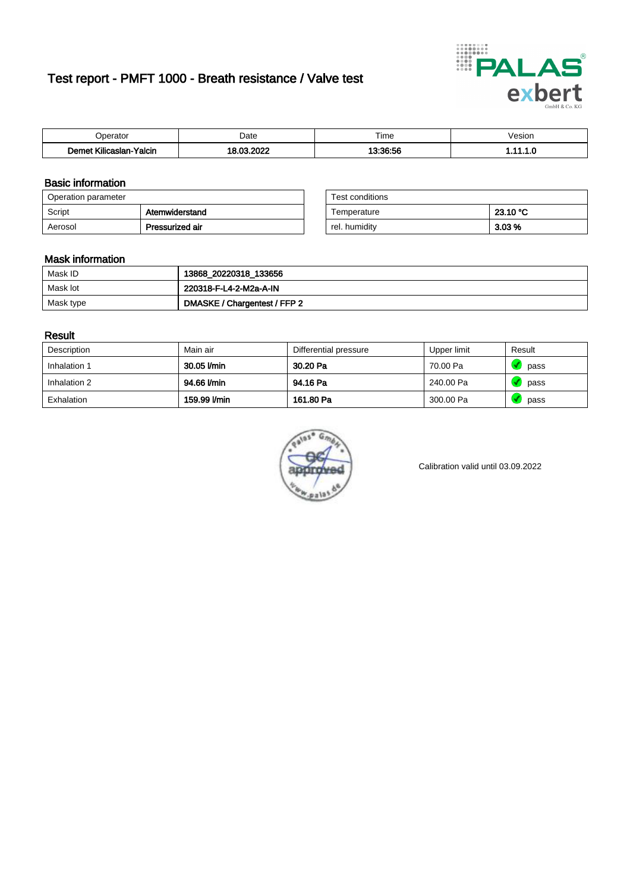# Test report - PMFT 1000 - Breath resistance / Valve test



| )perator                           | Date                          | $- \cdot$<br>Гіmе | esion/ |
|------------------------------------|-------------------------------|-------------------|--------|
| .<br>Yalcin<br>⊿slan-`<br>∴∧Ilicae | <b>nnnc</b><br>$\sim$<br>---- | 10.00.50          | .      |

### Basic information

| Operation parameter |                 | Test conditions |          |
|---------------------|-----------------|-----------------|----------|
| Script              | Atemwiderstand  | Temperature     | 23.10 °C |
| Aerosol             | Pressurized air | rel, humidity   | $3.03\%$ |

| Test conditions |          |
|-----------------|----------|
| Temperature     | 23.10 °C |
| rel. humidity   | 3.03%    |

### Mask information

| Mask ID   | 13868_20220318_133656        |
|-----------|------------------------------|
| Mask lot  | 220318-F-L4-2-M2a-A-IN       |
| Mask type | DMASKE / Chargentest / FFP 2 |

### Result

| Description  | Main air     | Differential pressure | Upper limit | Result |
|--------------|--------------|-----------------------|-------------|--------|
| Inhalation 1 | 30.05 l/min  | 30.20 Pa              | 70.00 Pa    | pass   |
| Inhalation 2 | 94.66 l/min  | 94.16 Pa              | 240.00 Pa   | pass   |
| Exhalation   | 159.99 l/min | 161.80 Pa             | 300.00 Pa   | pass   |



Calibration valid until 03.09.2022